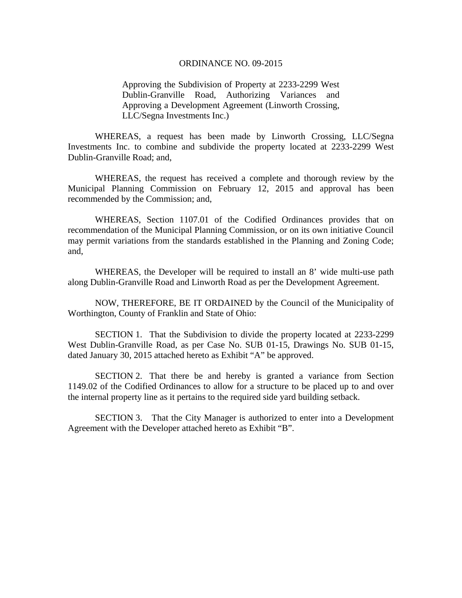## ORDINANCE NO. 09-2015

Approving the Subdivision of Property at 2233-2299 West Dublin-Granville Road, Authorizing Variances and Approving a Development Agreement (Linworth Crossing, LLC/Segna Investments Inc.)

 WHEREAS, a request has been made by Linworth Crossing, LLC/Segna Investments Inc. to combine and subdivide the property located at 2233-2299 West Dublin-Granville Road; and,

 WHEREAS, the request has received a complete and thorough review by the Municipal Planning Commission on February 12, 2015 and approval has been recommended by the Commission; and,

 WHEREAS, Section 1107.01 of the Codified Ordinances provides that on recommendation of the Municipal Planning Commission, or on its own initiative Council may permit variations from the standards established in the Planning and Zoning Code; and,

 WHEREAS, the Developer will be required to install an 8' wide multi-use path along Dublin-Granville Road and Linworth Road as per the Development Agreement.

 NOW, THEREFORE, BE IT ORDAINED by the Council of the Municipality of Worthington, County of Franklin and State of Ohio:

 SECTION 1. That the Subdivision to divide the property located at 2233-2299 West Dublin-Granville Road, as per Case No. SUB 01-15, Drawings No. SUB 01-15, dated January 30, 2015 attached hereto as Exhibit "A" be approved.

 SECTION 2. That there be and hereby is granted a variance from Section 1149.02 of the Codified Ordinances to allow for a structure to be placed up to and over the internal property line as it pertains to the required side yard building setback.

 SECTION 3. That the City Manager is authorized to enter into a Development Agreement with the Developer attached hereto as Exhibit "B".